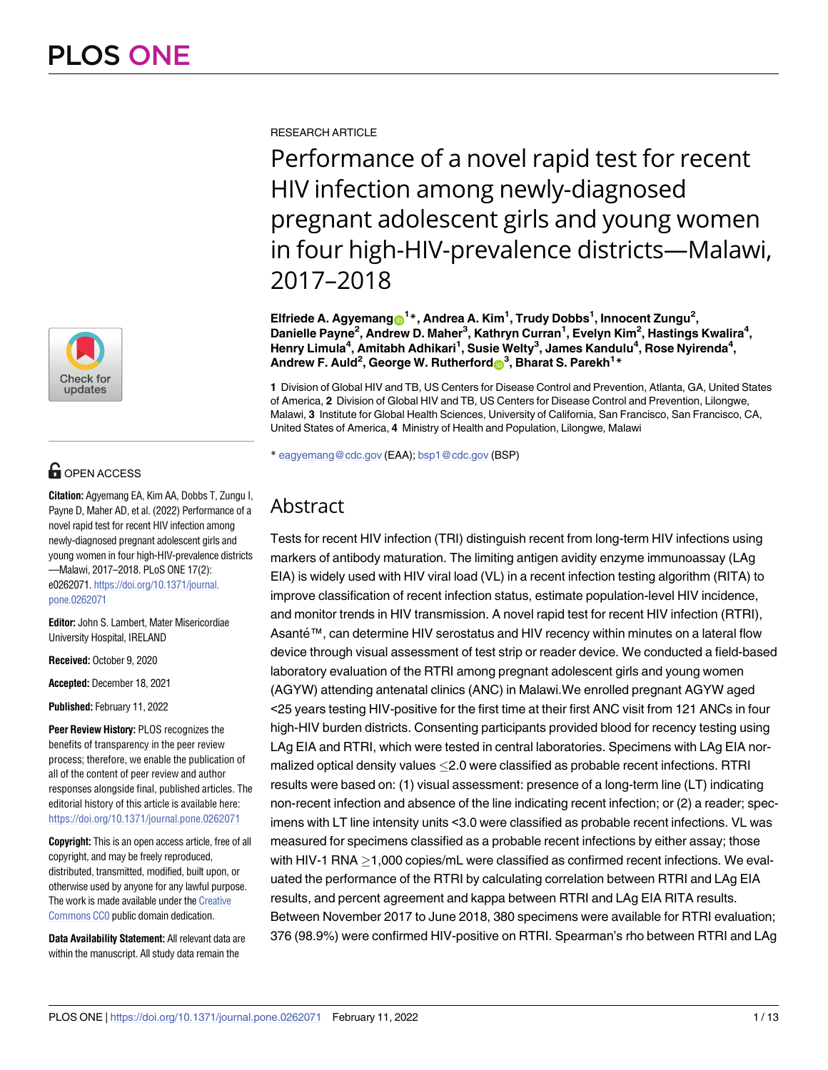

# **OPEN ACCESS**

**Citation:** Agyemang EA, Kim AA, Dobbs T, Zungu I, Payne D, Maher AD, et al. (2022) Performance of a novel rapid test for recent HIV infection among newly-diagnosed pregnant adolescent girls and young women in four high-HIV-prevalence districts —Malawi, 2017–2018. PLoS ONE 17(2): e0262071. [https://doi.org/10.1371/journal.](https://doi.org/10.1371/journal.pone.0262071) [pone.0262071](https://doi.org/10.1371/journal.pone.0262071)

**Editor:** John S. Lambert, Mater Misericordiae University Hospital, IRELAND

**Received:** October 9, 2020

**Accepted:** December 18, 2021

**Published:** February 11, 2022

**Peer Review History:** PLOS recognizes the benefits of transparency in the peer review process; therefore, we enable the publication of all of the content of peer review and author responses alongside final, published articles. The editorial history of this article is available here: <https://doi.org/10.1371/journal.pone.0262071>

**Copyright:** This is an open access article, free of all copyright, and may be freely reproduced, distributed, transmitted, modified, built upon, or otherwise used by anyone for any lawful purpose. The work is made available under the [Creative](https://creativecommons.org/publicdomain/zero/1.0/) [Commons](https://creativecommons.org/publicdomain/zero/1.0/) CC0 public domain dedication.

**Data Availability Statement:** All relevant data are within the manuscript. All study data remain the

RESEARCH ARTICLE

Performance of a novel rapid test for recent HIV infection among newly-diagnosed pregnant adolescent girls and young women in four high-HIV-prevalence districts—Malawi, 2017–2018

 $\mathbf{E}$ Ifriede A. Agyemang $\mathbf{\Theta}^1$ \*, Andrea A. Kim<sup>1</sup>, Trudy Dobbs<sup>1</sup>, Innocent Zungu<sup>2</sup>, **Danielle Payne2 , Andrew D. Maher3 , Kathryn Curran1 , Evelyn Kim2 , Hastings Kwalira4 , Henry Limula4 , Amitabh Adhikari1 , Susie Welty3 , James Kandulu4 , Rose Nyirenda4 , Andrew F. Auld2 , George W. Rutherford[ID3](https://orcid.org/0000-0002-0707-8287) , Bharat S. Parekh1 \***

**1** Division of Global HIV and TB, US Centers for Disease Control and Prevention, Atlanta, GA, United States of America, **2** Division of Global HIV and TB, US Centers for Disease Control and Prevention, Lilongwe, Malawi, **3** Institute for Global Health Sciences, University of California, San Francisco, San Francisco, CA, United States of America, **4** Ministry of Health and Population, Lilongwe, Malawi

\* eagyemang@cdc.gov (EAA); bsp1@cdc.gov (BSP)

# Abstract

Tests for recent HIV infection (TRI) distinguish recent from long-term HIV infections using markers of antibody maturation. The limiting antigen avidity enzyme immunoassay (LAg EIA) is widely used with HIV viral load (VL) in a recent infection testing algorithm (RITA) to improve classification of recent infection status, estimate population-level HIV incidence, and monitor trends in HIV transmission. A novel rapid test for recent HIV infection (RTRI), Asanté™, can determine HIV serostatus and HIV recency within minutes on a lateral flow device through visual assessment of test strip or reader device. We conducted a field-based laboratory evaluation of the RTRI among pregnant adolescent girls and young women (AGYW) attending antenatal clinics (ANC) in Malawi.We enrolled pregnant AGYW aged <25 years testing HIV-positive for the first time at their first ANC visit from 121 ANCs in four high-HIV burden districts. Consenting participants provided blood for recency testing using LAg EIA and RTRI, which were tested in central laboratories. Specimens with LAg EIA normalized optical density values  $\leq$  2.0 were classified as probable recent infections. RTRI results were based on: (1) visual assessment: presence of a long-term line (LT) indicating non-recent infection and absence of the line indicating recent infection; or (2) a reader; specimens with LT line intensity units <3.0 were classified as probable recent infections. VL was measured for specimens classified as a probable recent infections by either assay; those with HIV-1 RNA  $>$ 1,000 copies/mL were classified as confirmed recent infections. We evaluated the performance of the RTRI by calculating correlation between RTRI and LAg EIA results, and percent agreement and kappa between RTRI and LAg EIA RITA results. Between November 2017 to June 2018, 380 specimens were available for RTRI evaluation; 376 (98.9%) were confirmed HIV-positive on RTRI. Spearman's rho between RTRI and LAg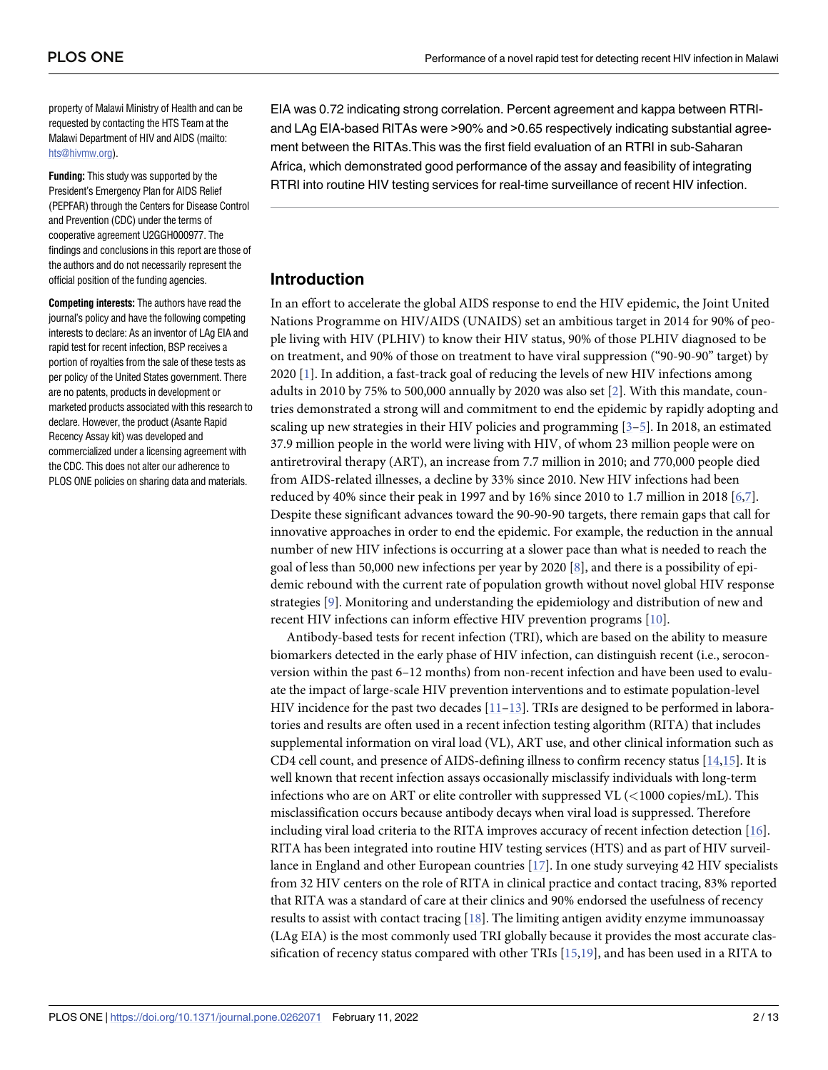<span id="page-1-0"></span>property of Malawi Ministry of Health and can be requested by contacting the HTS Team at the Malawi Department of HIV and AIDS (mailto: [hts@hivmw.org](mailto:hts@hivmw.org)).

**Funding:** This study was supported by the President's Emergency Plan for AIDS Relief (PEPFAR) through the Centers for Disease Control and Prevention (CDC) under the terms of cooperative agreement U2GGH000977. The findings and conclusions in this report are those of the authors and do not necessarily represent the official position of the funding agencies.

**Competing interests:** The authors have read the journal's policy and have the following competing interests to declare: As an inventor of LAg EIA and rapid test for recent infection, BSP receives a portion of royalties from the sale of these tests as per policy of the United States government. There are no patents, products in development or marketed products associated with this research to declare. However, the product (Asante Rapid Recency Assay kit) was developed and commercialized under a licensing agreement with the CDC. This does not alter our adherence to PLOS ONE policies on sharing data and materials.

EIA was 0.72 indicating strong correlation. Percent agreement and kappa between RTRIand LAg EIA-based RITAs were >90% and >0.65 respectively indicating substantial agreement between the RITAs.This was the first field evaluation of an RTRI in sub-Saharan Africa, which demonstrated good performance of the assay and feasibility of integrating RTRI into routine HIV testing services for real-time surveillance of recent HIV infection.

## **Introduction**

In an effort to accelerate the global AIDS response to end the HIV epidemic, the Joint United Nations Programme on HIV/AIDS (UNAIDS) set an ambitious target in 2014 for 90% of people living with HIV (PLHIV) to know their HIV status, 90% of those PLHIV diagnosed to be on treatment, and 90% of those on treatment to have viral suppression ("90-90-90" target) by 2020 [[1](#page-10-0)]. In addition, a fast-track goal of reducing the levels of new HIV infections among adults in 2010 by 75% to 500,000 annually by 2020 was also set [[2\]](#page-10-0). With this mandate, countries demonstrated a strong will and commitment to end the epidemic by rapidly adopting and scaling up new strategies in their HIV policies and programming [\[3–](#page-10-0)[5\]](#page-11-0). In 2018, an estimated 37.9 million people in the world were living with HIV, of whom 23 million people were on antiretroviral therapy (ART), an increase from 7.7 million in 2010; and 770,000 people died from AIDS-related illnesses, a decline by 33% since 2010. New HIV infections had been reduced by 40% since their peak in 1997 and by 16% since 2010 to 1.7 million in 2018 [\[6,7\]](#page-11-0). Despite these significant advances toward the 90-90-90 targets, there remain gaps that call for innovative approaches in order to end the epidemic. For example, the reduction in the annual number of new HIV infections is occurring at a slower pace than what is needed to reach the goal of less than 50,000 new infections per year by 2020 [[8](#page-11-0)], and there is a possibility of epidemic rebound with the current rate of population growth without novel global HIV response strategies [[9](#page-11-0)]. Monitoring and understanding the epidemiology and distribution of new and recent HIV infections can inform effective HIV prevention programs [[10](#page-11-0)].

Antibody-based tests for recent infection (TRI), which are based on the ability to measure biomarkers detected in the early phase of HIV infection, can distinguish recent (i.e., seroconversion within the past 6–12 months) from non-recent infection and have been used to evaluate the impact of large-scale HIV prevention interventions and to estimate population-level HIV incidence for the past two decades  $[11-13]$ . TRIs are designed to be performed in laboratories and results are often used in a recent infection testing algorithm (RITA) that includes supplemental information on viral load (VL), ART use, and other clinical information such as CD4 cell count, and presence of AIDS-defining illness to confirm recency status [[14](#page-11-0),[15](#page-11-0)]. It is well known that recent infection assays occasionally misclassify individuals with long-term infections who are on ART or elite controller with suppressed VL (*<*1000 copies/mL). This misclassification occurs because antibody decays when viral load is suppressed. Therefore including viral load criteria to the RITA improves accuracy of recent infection detection [[16](#page-11-0)]. RITA has been integrated into routine HIV testing services (HTS) and as part of HIV surveillance in England and other European countries [[17](#page-11-0)]. In one study surveying 42 HIV specialists from 32 HIV centers on the role of RITA in clinical practice and contact tracing, 83% reported that RITA was a standard of care at their clinics and 90% endorsed the usefulness of recency results to assist with contact tracing [[18](#page-11-0)]. The limiting antigen avidity enzyme immunoassay (LAg EIA) is the most commonly used TRI globally because it provides the most accurate classification of recency status compared with other TRIs [[15,19\]](#page-11-0), and has been used in a RITA to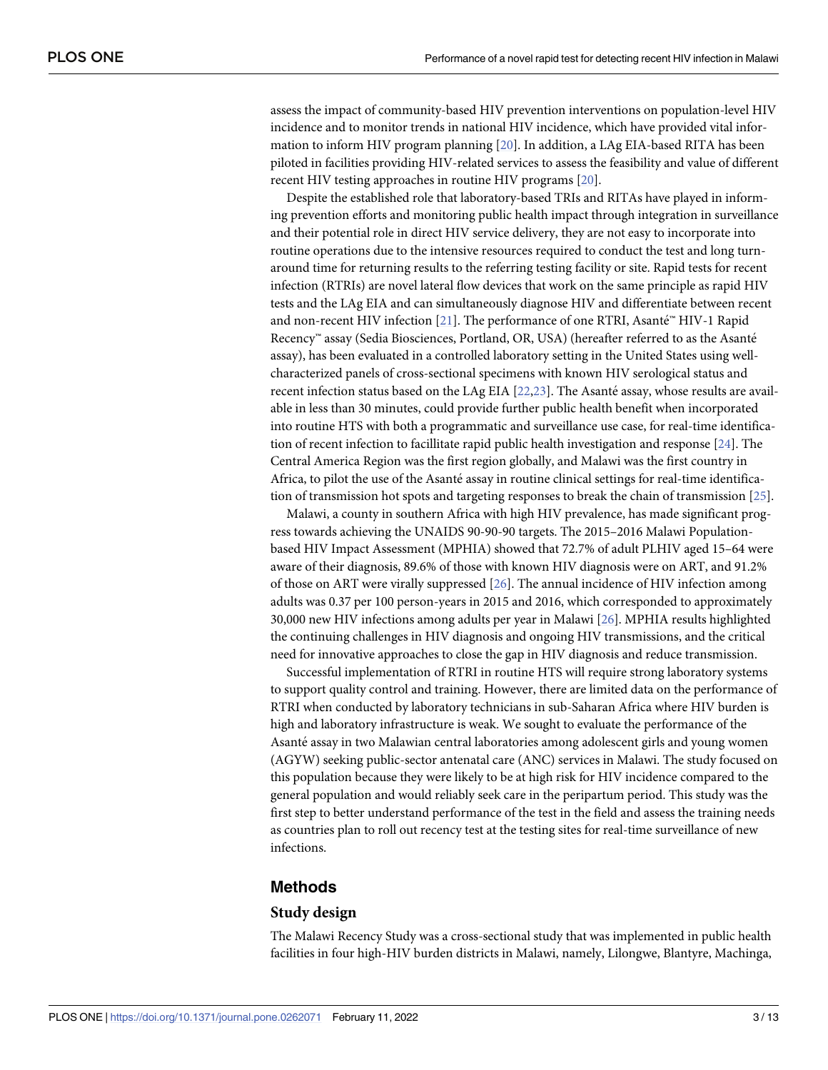<span id="page-2-0"></span>assess the impact of community-based HIV prevention interventions on population-level HIV incidence and to monitor trends in national HIV incidence, which have provided vital information to inform HIV program planning [\[20\]](#page-11-0). In addition, a LAg EIA-based RITA has been piloted in facilities providing HIV-related services to assess the feasibility and value of different recent HIV testing approaches in routine HIV programs [[20](#page-11-0)].

Despite the established role that laboratory-based TRIs and RITAs have played in informing prevention efforts and monitoring public health impact through integration in surveillance and their potential role in direct HIV service delivery, they are not easy to incorporate into routine operations due to the intensive resources required to conduct the test and long turnaround time for returning results to the referring testing facility or site. Rapid tests for recent infection (RTRIs) are novel lateral flow devices that work on the same principle as rapid HIV tests and the LAg EIA and can simultaneously diagnose HIV and differentiate between recent and non-recent HIV infection [\[21\]](#page-11-0). The performance of one RTRI, Asanté<sup>™</sup> HIV-1 Rapid Recency™ assay (Sedia Biosciences, Portland, OR, USA) (hereafter referred to as the Asanté assay), has been evaluated in a controlled laboratory setting in the United States using wellcharacterized panels of cross-sectional specimens with known HIV serological status and recent infection status based on the LAg EIA [[22](#page-11-0),[23](#page-11-0)]. The Asanté assay, whose results are available in less than 30 minutes, could provide further public health benefit when incorporated into routine HTS with both a programmatic and surveillance use case, for real-time identification of recent infection to facillitate rapid public health investigation and response [\[24\]](#page-11-0). The Central America Region was the first region globally, and Malawi was the first country in Africa, to pilot the use of the Asanté assay in routine clinical settings for real-time identification of transmission hot spots and targeting responses to break the chain of transmission [\[25\]](#page-11-0).

Malawi, a county in southern Africa with high HIV prevalence, has made significant progress towards achieving the UNAIDS 90-90-90 targets. The 2015–2016 Malawi Populationbased HIV Impact Assessment (MPHIA) showed that 72.7% of adult PLHIV aged 15–64 were aware of their diagnosis, 89.6% of those with known HIV diagnosis were on ART, and 91.2% of those on ART were virally suppressed [\[26\]](#page-11-0). The annual incidence of HIV infection among adults was 0.37 per 100 person-years in 2015 and 2016, which corresponded to approximately 30,000 new HIV infections among adults per year in Malawi [[26](#page-11-0)]. MPHIA results highlighted the continuing challenges in HIV diagnosis and ongoing HIV transmissions, and the critical need for innovative approaches to close the gap in HIV diagnosis and reduce transmission.

Successful implementation of RTRI in routine HTS will require strong laboratory systems to support quality control and training. However, there are limited data on the performance of RTRI when conducted by laboratory technicians in sub-Saharan Africa where HIV burden is high and laboratory infrastructure is weak. We sought to evaluate the performance of the Asanté assay in two Malawian central laboratories among adolescent girls and young women (AGYW) seeking public-sector antenatal care (ANC) services in Malawi. The study focused on this population because they were likely to be at high risk for HIV incidence compared to the general population and would reliably seek care in the peripartum period. This study was the first step to better understand performance of the test in the field and assess the training needs as countries plan to roll out recency test at the testing sites for real-time surveillance of new infections.

### **Methods**

#### **Study design**

The Malawi Recency Study was a cross-sectional study that was implemented in public health facilities in four high-HIV burden districts in Malawi, namely, Lilongwe, Blantyre, Machinga,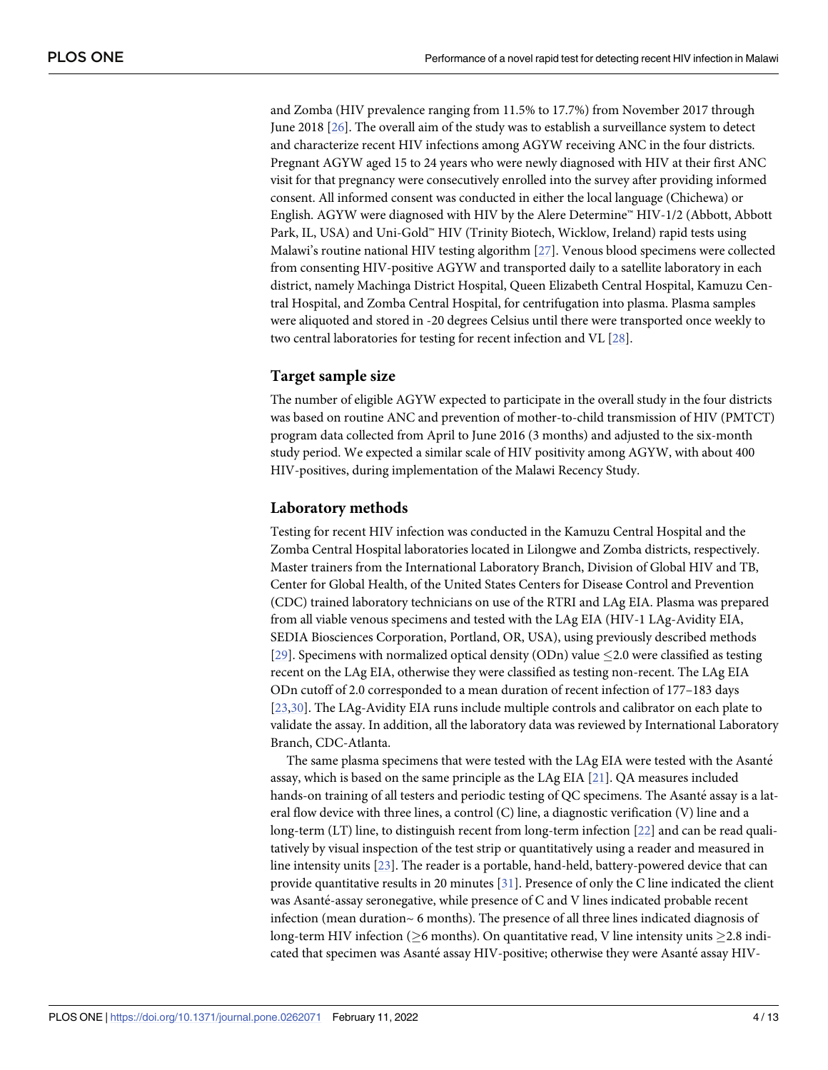<span id="page-3-0"></span>and Zomba (HIV prevalence ranging from 11.5% to 17.7%) from November 2017 through June 2018 [\[26\]](#page-11-0). The overall aim of the study was to establish a surveillance system to detect and characterize recent HIV infections among AGYW receiving ANC in the four districts. Pregnant AGYW aged 15 to 24 years who were newly diagnosed with HIV at their first ANC visit for that pregnancy were consecutively enrolled into the survey after providing informed consent. All informed consent was conducted in either the local language (Chichewa) or English. AGYW were diagnosed with HIV by the Alere Determine™ HIV-1/2 (Abbott, Abbott Park, IL, USA) and Uni-Gold™ HIV (Trinity Biotech, Wicklow, Ireland) rapid tests using Malawi's routine national HIV testing algorithm [\[27\]](#page-11-0). Venous blood specimens were collected from consenting HIV-positive AGYW and transported daily to a satellite laboratory in each district, namely Machinga District Hospital, Queen Elizabeth Central Hospital, Kamuzu Central Hospital, and Zomba Central Hospital, for centrifugation into plasma. Plasma samples were aliquoted and stored in -20 degrees Celsius until there were transported once weekly to two central laboratories for testing for recent infection and VL [\[28\]](#page-12-0).

#### **Target sample size**

The number of eligible AGYW expected to participate in the overall study in the four districts was based on routine ANC and prevention of mother-to-child transmission of HIV (PMTCT) program data collected from April to June 2016 (3 months) and adjusted to the six-month study period. We expected a similar scale of HIV positivity among AGYW, with about 400 HIV-positives, during implementation of the Malawi Recency Study.

#### **Laboratory methods**

Testing for recent HIV infection was conducted in the Kamuzu Central Hospital and the Zomba Central Hospital laboratories located in Lilongwe and Zomba districts, respectively. Master trainers from the International Laboratory Branch, Division of Global HIV and TB, Center for Global Health, of the United States Centers for Disease Control and Prevention (CDC) trained laboratory technicians on use of the RTRI and LAg EIA. Plasma was prepared from all viable venous specimens and tested with the LAg EIA (HIV-1 LAg-Avidity EIA, SEDIA Biosciences Corporation, Portland, OR, USA), using previously described methods [\[29\]](#page-12-0). Specimens with normalized optical density (ODn) value  $\leq$  2.0 were classified as testing recent on the LAg EIA, otherwise they were classified as testing non-recent. The LAg EIA ODn cutoff of 2.0 corresponded to a mean duration of recent infection of 177–183 days [\[23](#page-11-0)[,30\]](#page-12-0). The LAg-Avidity EIA runs include multiple controls and calibrator on each plate to validate the assay. In addition, all the laboratory data was reviewed by International Laboratory Branch, CDC-Atlanta.

The same plasma specimens that were tested with the LAg EIA were tested with the Asanté assay, which is based on the same principle as the LAg EIA [\[21\]](#page-11-0). QA measures included hands-on training of all testers and periodic testing of QC specimens. The Asanté assay is a lateral flow device with three lines, a control (C) line, a diagnostic verification (V) line and a long-term (LT) line, to distinguish recent from long-term infection [[22](#page-11-0)] and can be read qualitatively by visual inspection of the test strip or quantitatively using a reader and measured in line intensity units [[23](#page-11-0)]. The reader is a portable, hand-held, battery-powered device that can provide quantitative results in 20 minutes [[31](#page-12-0)]. Presence of only the C line indicated the client was Asanté-assay seronegative, while presence of C and V lines indicated probable recent infection (mean duration $\sim$  6 months). The presence of all three lines indicated diagnosis of long-term HIV infection ( $\geq$ 6 months). On quantitative read, V line intensity units  $\geq$ 2.8 indicated that specimen was Asanté assay HIV-positive; otherwise they were Asanté assay HIV-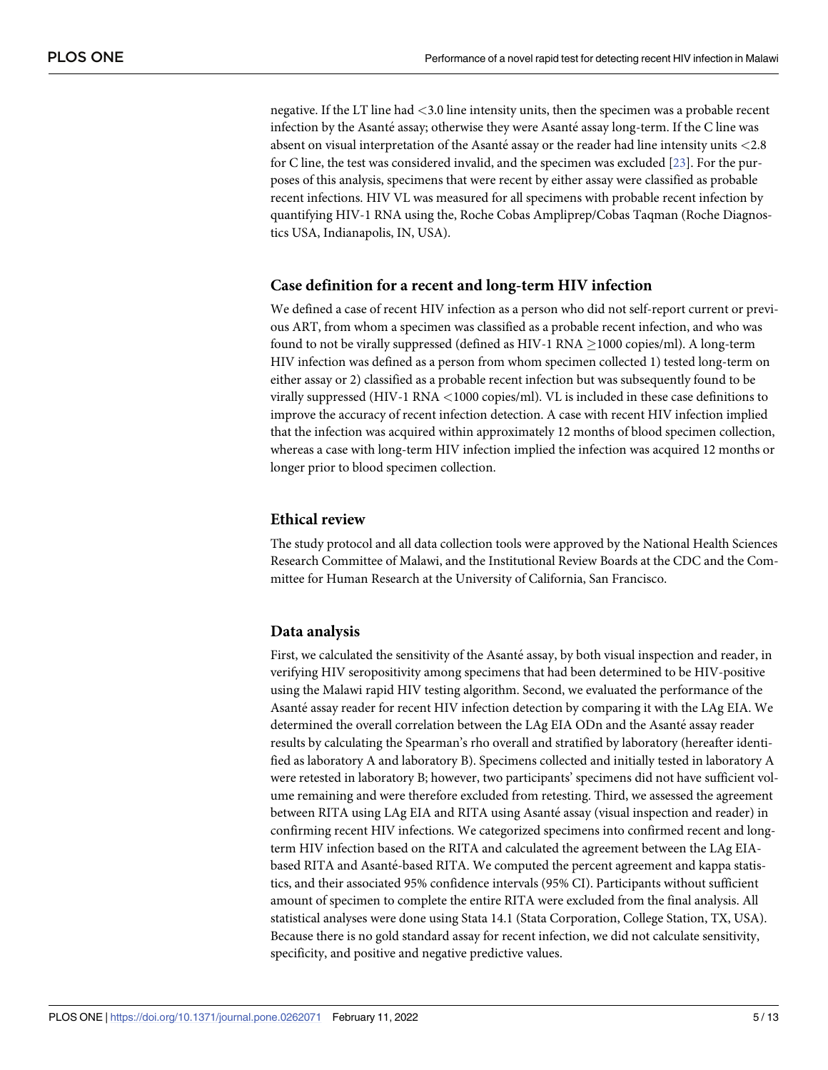negative. If the LT line had *<*3.0 line intensity units, then the specimen was a probable recent infection by the Asanté assay; otherwise they were Asanté assay long-term. If the C line was absent on visual interpretation of the Asante´ assay or the reader had line intensity units *<*2.8 for C line, the test was considered invalid, and the specimen was excluded [[23](#page-11-0)]. For the purposes of this analysis, specimens that were recent by either assay were classified as probable recent infections. HIV VL was measured for all specimens with probable recent infection by quantifying HIV-1 RNA using the, Roche Cobas Ampliprep/Cobas Taqman (Roche Diagnostics USA, Indianapolis, IN, USA).

#### **Case definition for a recent and long-term HIV infection**

We defined a case of recent HIV infection as a person who did not self-report current or previous ART, from whom a specimen was classified as a probable recent infection, and who was found to not be virally suppressed (defined as HIV-1 RNA  $>$ 1000 copies/ml). A long-term HIV infection was defined as a person from whom specimen collected 1) tested long-term on either assay or 2) classified as a probable recent infection but was subsequently found to be virally suppressed (HIV-1 RNA *<*1000 copies/ml). VL is included in these case definitions to improve the accuracy of recent infection detection. A case with recent HIV infection implied that the infection was acquired within approximately 12 months of blood specimen collection, whereas a case with long-term HIV infection implied the infection was acquired 12 months or longer prior to blood specimen collection.

## **Ethical review**

The study protocol and all data collection tools were approved by the National Health Sciences Research Committee of Malawi, and the Institutional Review Boards at the CDC and the Committee for Human Research at the University of California, San Francisco.

#### **Data analysis**

First, we calculated the sensitivity of the Asanté assay, by both visual inspection and reader, in verifying HIV seropositivity among specimens that had been determined to be HIV-positive using the Malawi rapid HIV testing algorithm. Second, we evaluated the performance of the Asanté assay reader for recent HIV infection detection by comparing it with the LAg EIA. We determined the overall correlation between the LAg EIA ODn and the Asanté assay reader results by calculating the Spearman's rho overall and stratified by laboratory (hereafter identified as laboratory A and laboratory B). Specimens collected and initially tested in laboratory A were retested in laboratory B; however, two participants' specimens did not have sufficient volume remaining and were therefore excluded from retesting. Third, we assessed the agreement between RITA using LAg EIA and RITA using Asanté assay (visual inspection and reader) in confirming recent HIV infections. We categorized specimens into confirmed recent and longterm HIV infection based on the RITA and calculated the agreement between the LAg EIAbased RITA and Asanté-based RITA. We computed the percent agreement and kappa statistics, and their associated 95% confidence intervals (95% CI). Participants without sufficient amount of specimen to complete the entire RITA were excluded from the final analysis. All statistical analyses were done using Stata 14.1 (Stata Corporation, College Station, TX, USA). Because there is no gold standard assay for recent infection, we did not calculate sensitivity, specificity, and positive and negative predictive values.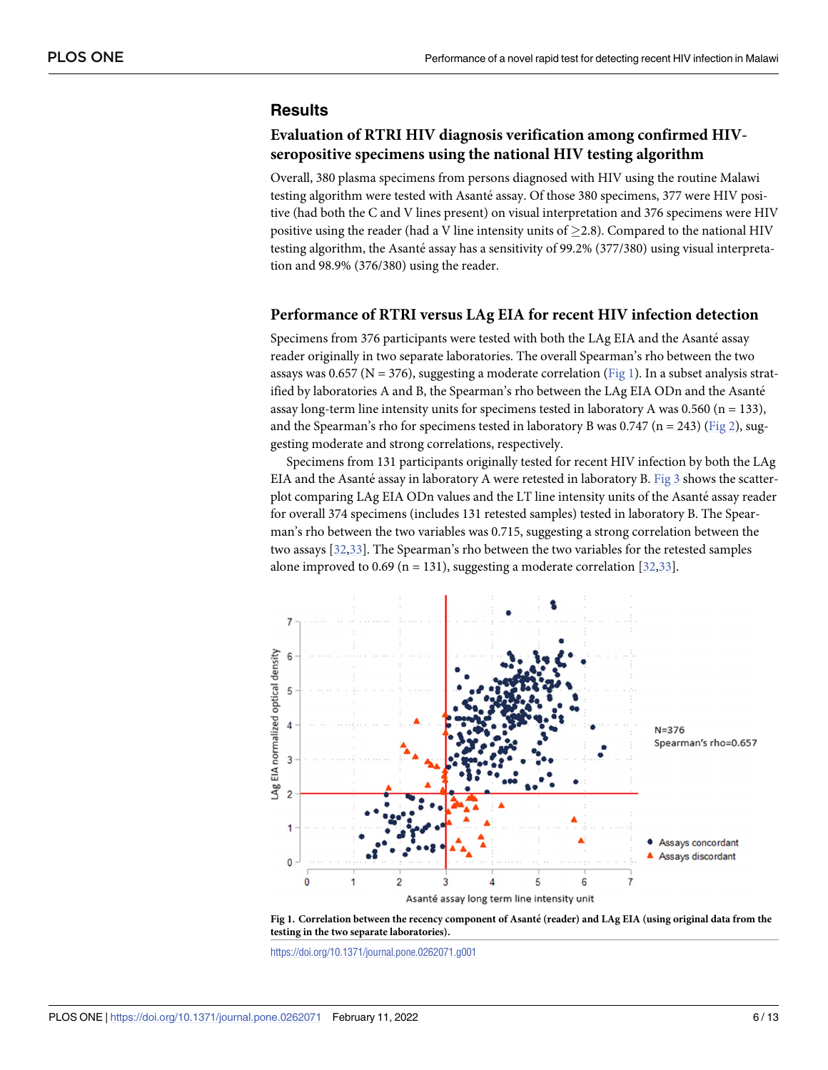# <span id="page-5-0"></span>**Results**

### **Evaluation of RTRI HIV diagnosis verification among confirmed HIVseropositive specimens using the national HIV testing algorithm**

Overall, 380 plasma specimens from persons diagnosed with HIV using the routine Malawi testing algorithm were tested with Asanté assay. Of those 380 specimens, 377 were HIV positive (had both the C and V lines present) on visual interpretation and 376 specimens were HIV positive using the reader (had a V line intensity units of  $\geq$  2.8). Compared to the national HIV testing algorithm, the Asanté assay has a sensitivity of  $99.2\%$  (377/380) using visual interpretation and 98.9% (376/380) using the reader.

#### **Performance of RTRI versus LAg EIA for recent HIV infection detection**

Specimens from 376 participants were tested with both the LAg EIA and the Asanté assay reader originally in two separate laboratories. The overall Spearman's rho between the two assays was 0.657 ( $N = 376$ ), suggesting a moderate correlation (Fig 1). In a subset analysis stratified by laboratories A and B, the Spearman's rho between the LAg EIA ODn and the Asanté assay long-term line intensity units for specimens tested in laboratory A was 0.560 ( $n = 133$ ), and the Spearman's rho for specimens tested in laboratory B was  $0.747$  (n = 243) [\(Fig](#page-6-0) 2), suggesting moderate and strong correlations, respectively.

Specimens from 131 participants originally tested for recent HIV infection by both the LAg EIA and the Asanté assay in laboratory A were retested in laboratory B. [Fig](#page-6-0)  $3$  shows the scatterplot comparing LAg EIA ODn values and the LT line intensity units of the Asanté assay reader for overall 374 specimens (includes 131 retested samples) tested in laboratory B. The Spearman's rho between the two variables was 0.715, suggesting a strong correlation between the two assays [[32](#page-12-0),[33\]](#page-12-0). The Spearman's rho between the two variables for the retested samples alone improved to 0.69 (n = 131), suggesting a moderate correlation  $[32,33]$ .



Fig 1. Correlation between the recency component of Asanté (reader) and LAg EIA (using original data from the **testing in the two separate laboratories).**

<https://doi.org/10.1371/journal.pone.0262071.g001>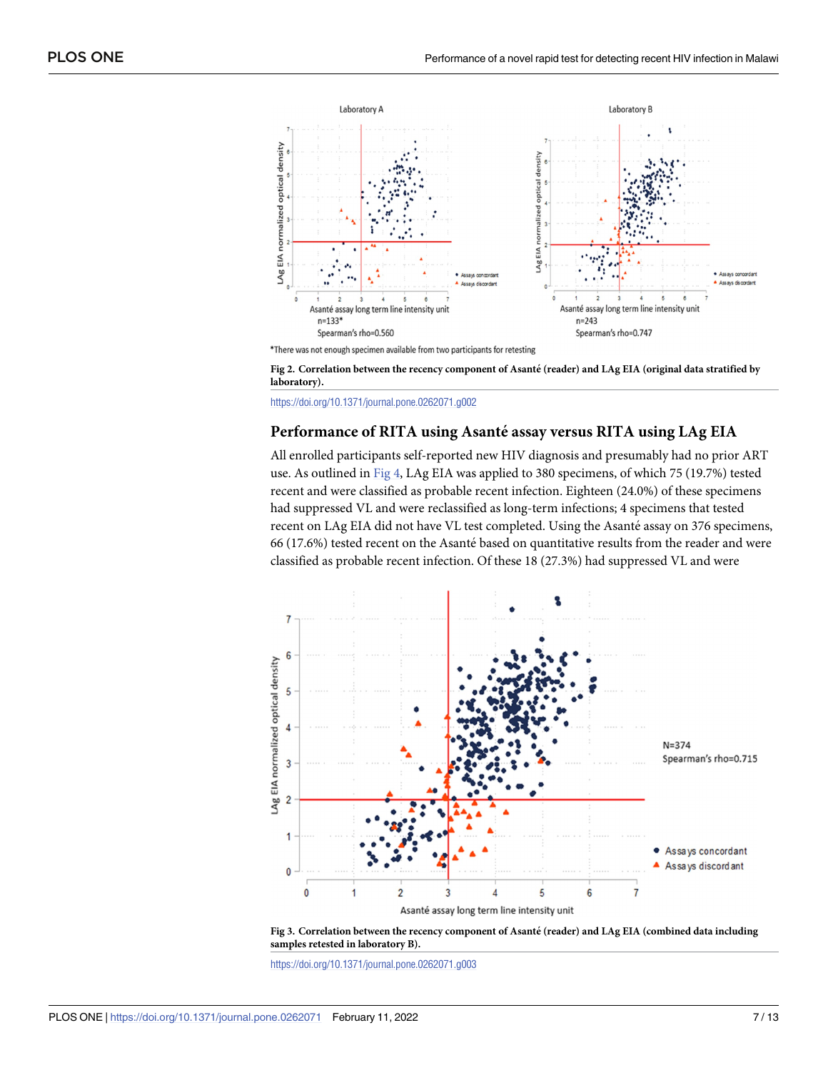<span id="page-6-0"></span>

\*There was not enough specimen available from two participants for retesting



<https://doi.org/10.1371/journal.pone.0262071.g002>

#### **Performance of RITA using Asante´ assay versus RITA using LAg EIA**

All enrolled participants self-reported new HIV diagnosis and presumably had no prior ART use. As outlined in [Fig](#page-7-0) 4, LAg EIA was applied to 380 specimens, of which 75 (19.7%) tested recent and were classified as probable recent infection. Eighteen (24.0%) of these specimens had suppressed VL and were reclassified as long-term infections; 4 specimens that tested recent on LAg EIA did not have VL test completed. Using the Asanté assay on 376 specimens, 66 (17.6%) tested recent on the Asanté based on quantitative results from the reader and were classified as probable recent infection. Of these 18 (27.3%) had suppressed VL and were





<https://doi.org/10.1371/journal.pone.0262071.g003>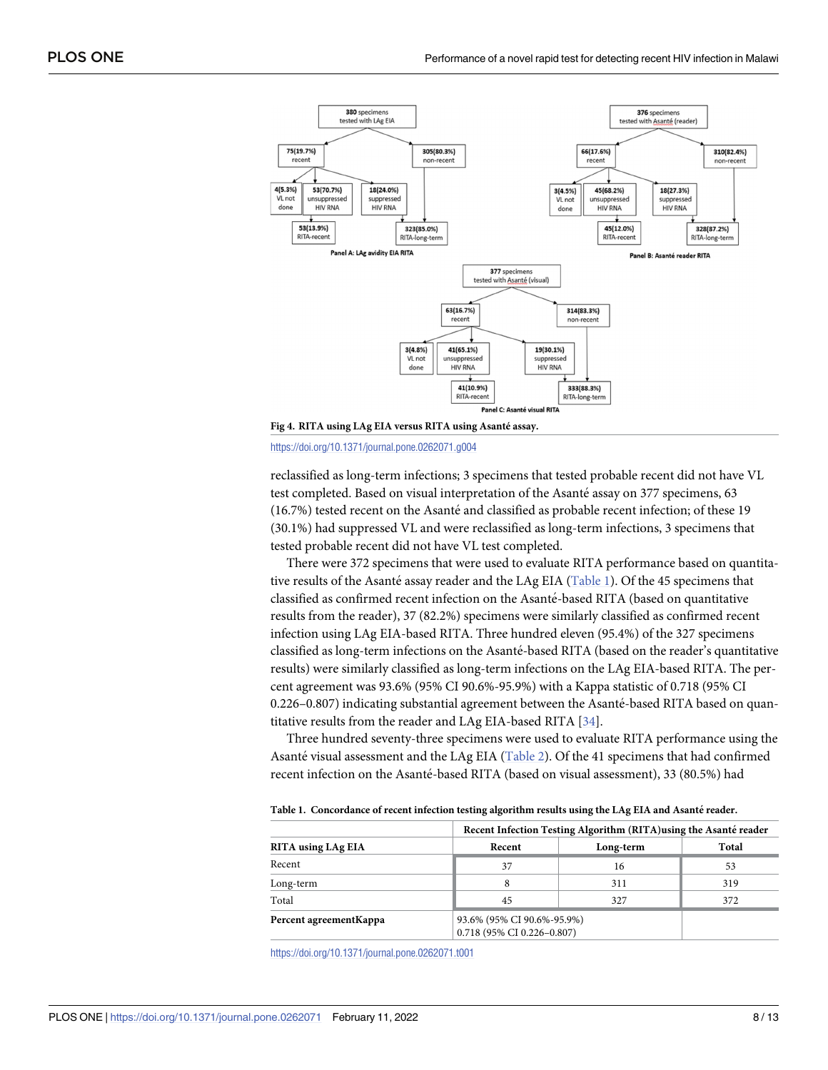<span id="page-7-0"></span>

**[Fig](#page-6-0) 4. RITA using LAg EIA versus RITA using Asante´ assay.**

<https://doi.org/10.1371/journal.pone.0262071.g004>

reclassified as long-term infections; 3 specimens that tested probable recent did not have VL test completed. Based on visual interpretation of the Asanté assay on 377 specimens, 63 (16.7%) tested recent on the Asanté and classified as probable recent infection; of these 19 (30.1%) had suppressed VL and were reclassified as long-term infections, 3 specimens that tested probable recent did not have VL test completed.

There were 372 specimens that were used to evaluate RITA performance based on quantitative results of the Asanté assay reader and the LAg EIA (Table 1). Of the 45 specimens that classified as confirmed recent infection on the Asante´-based RITA (based on quantitative results from the reader), 37 (82.2%) specimens were similarly classified as confirmed recent infection using LAg EIA-based RITA. Three hundred eleven (95.4%) of the 327 specimens classified as long-term infections on the Asanté-based RITA (based on the reader's quantitative results) were similarly classified as long-term infections on the LAg EIA-based RITA. The percent agreement was 93.6% (95% CI 90.6%-95.9%) with a Kappa statistic of 0.718 (95% CI 0.226-0.807) indicating substantial agreement between the Asanté-based RITA based on quantitative results from the reader and LAg EIA-based RITA [[34](#page-12-0)].

Three hundred seventy-three specimens were used to evaluate RITA performance using the Asanté visual assessment and the LAg EIA ([Table](#page-8-0) 2). Of the 41 specimens that had confirmed recent infection on the Asanté-based RITA (based on visual assessment), 33 (80.5%) had

|                         | Recent Infection Testing Algorithm (RITA) using the Asanté reader |                                                          |       |  |
|-------------------------|-------------------------------------------------------------------|----------------------------------------------------------|-------|--|
| RITA using LAg EIA      | Recent                                                            | Long-term                                                | Total |  |
| Recent                  | 37                                                                | 16                                                       | 53    |  |
| Long-term               |                                                                   | 311                                                      | 319   |  |
| Total                   | 45                                                                | 327                                                      | 372   |  |
| Percent agreement Kappa |                                                                   | 93.6% (95% CI 90.6%-95.9%)<br>0.718 (95% CI 0.226-0.807) |       |  |

**Table 1. Concordance of recent infection testing algorithm results using the LAg EIA and Asante´ reader.**

<https://doi.org/10.1371/journal.pone.0262071.t001>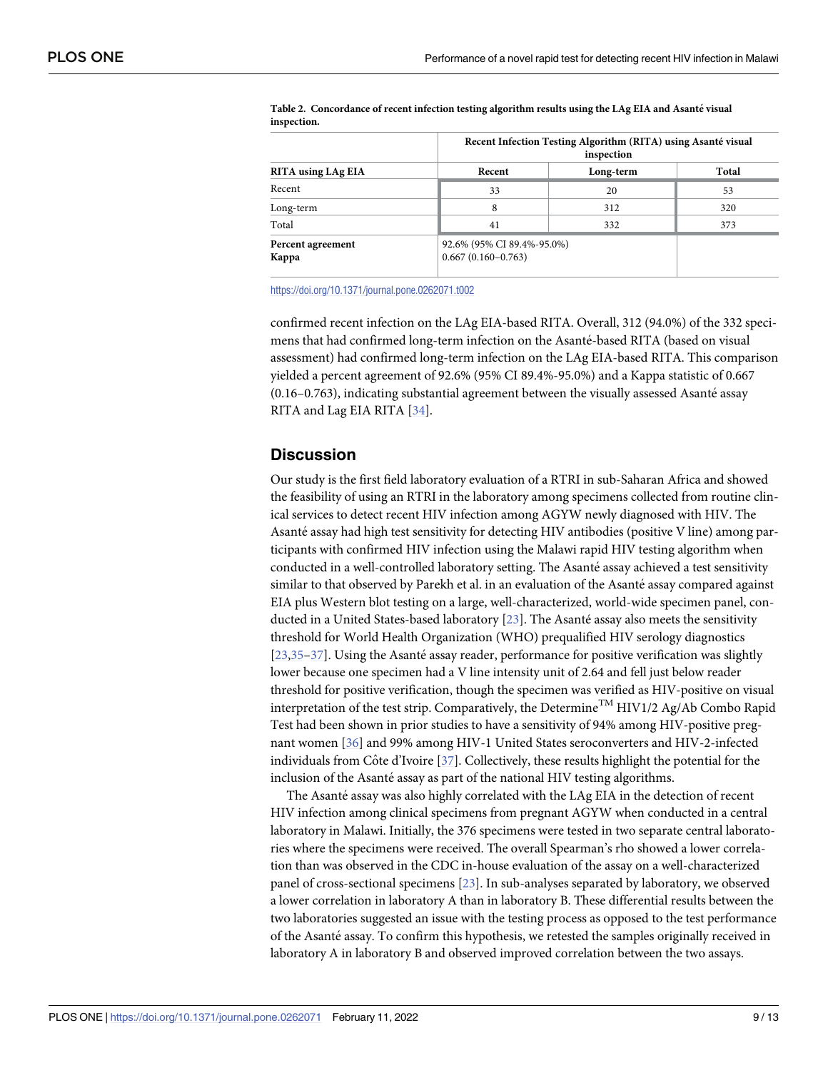|                            | Recent Infection Testing Algorithm (RITA) using Asanté visual<br>inspection |                            |       |  |
|----------------------------|-----------------------------------------------------------------------------|----------------------------|-------|--|
| RITA using LAg EIA         | Recent                                                                      | Long-term                  | Total |  |
| Recent                     | 33                                                                          | 20                         | 53    |  |
| Long-term                  | 8                                                                           | 312                        | 320   |  |
| Total                      | 41                                                                          | 332                        | 373   |  |
| Percent agreement<br>Kappa | $0.667(0.160 - 0.763)$                                                      | 92.6% (95% CI 89.4%-95.0%) |       |  |

<span id="page-8-0"></span>**[Table](#page-7-0) 2. Concordance of recent infection testing algorithm results using the LAg EIA and Asante´ visual inspection.**

<https://doi.org/10.1371/journal.pone.0262071.t002>

confirmed recent infection on the LAg EIA-based RITA. Overall, 312 (94.0%) of the 332 specimens that had confirmed long-term infection on the Asanté-based RITA (based on visual assessment) had confirmed long-term infection on the LAg EIA-based RITA. This comparison yielded a percent agreement of 92.6% (95% CI 89.4%-95.0%) and a Kappa statistic of 0.667  $(0.16-0.763)$ , indicating substantial agreement between the visually assessed Asanté assay RITA and Lag EIA RITA [[34](#page-12-0)].

#### **Discussion**

Our study is the first field laboratory evaluation of a RTRI in sub-Saharan Africa and showed the feasibility of using an RTRI in the laboratory among specimens collected from routine clinical services to detect recent HIV infection among AGYW newly diagnosed with HIV. The Asanté assay had high test sensitivity for detecting HIV antibodies (positive V line) among participants with confirmed HIV infection using the Malawi rapid HIV testing algorithm when conducted in a well-controlled laboratory setting. The Asanté assay achieved a test sensitivity similar to that observed by Parekh et al. in an evaluation of the Asanté assay compared against EIA plus Western blot testing on a large, well-characterized, world-wide specimen panel, conducted in a United States-based laboratory  $[23]$  $[23]$  $[23]$ . The Asanté assay also meets the sensitivity threshold for World Health Organization (WHO) prequalified HIV serology diagnostics  $[23,35-37]$  $[23,35-37]$ . Using the Asanté assay reader, performance for positive verification was slightly lower because one specimen had a V line intensity unit of 2.64 and fell just below reader threshold for positive verification, though the specimen was verified as HIV-positive on visual interpretation of the test strip. Comparatively, the Determine<sup>TM</sup> HIV1/2 Ag/Ab Combo Rapid Test had been shown in prior studies to have a sensitivity of 94% among HIV-positive pregnant women [[36](#page-12-0)] and 99% among HIV-1 United States seroconverters and HIV-2-infected individuals from Côte d'Ivoire [\[37\]](#page-12-0). Collectively, these results highlight the potential for the inclusion of the Asanté assay as part of the national HIV testing algorithms.

The Asanté assay was also highly correlated with the LAg EIA in the detection of recent HIV infection among clinical specimens from pregnant AGYW when conducted in a central laboratory in Malawi. Initially, the 376 specimens were tested in two separate central laboratories where the specimens were received. The overall Spearman's rho showed a lower correlation than was observed in the CDC in-house evaluation of the assay on a well-characterized panel of cross-sectional specimens [\[23\]](#page-11-0). In sub-analyses separated by laboratory, we observed a lower correlation in laboratory A than in laboratory B. These differential results between the two laboratories suggested an issue with the testing process as opposed to the test performance of the Asanté assay. To confirm this hypothesis, we retested the samples originally received in laboratory A in laboratory B and observed improved correlation between the two assays.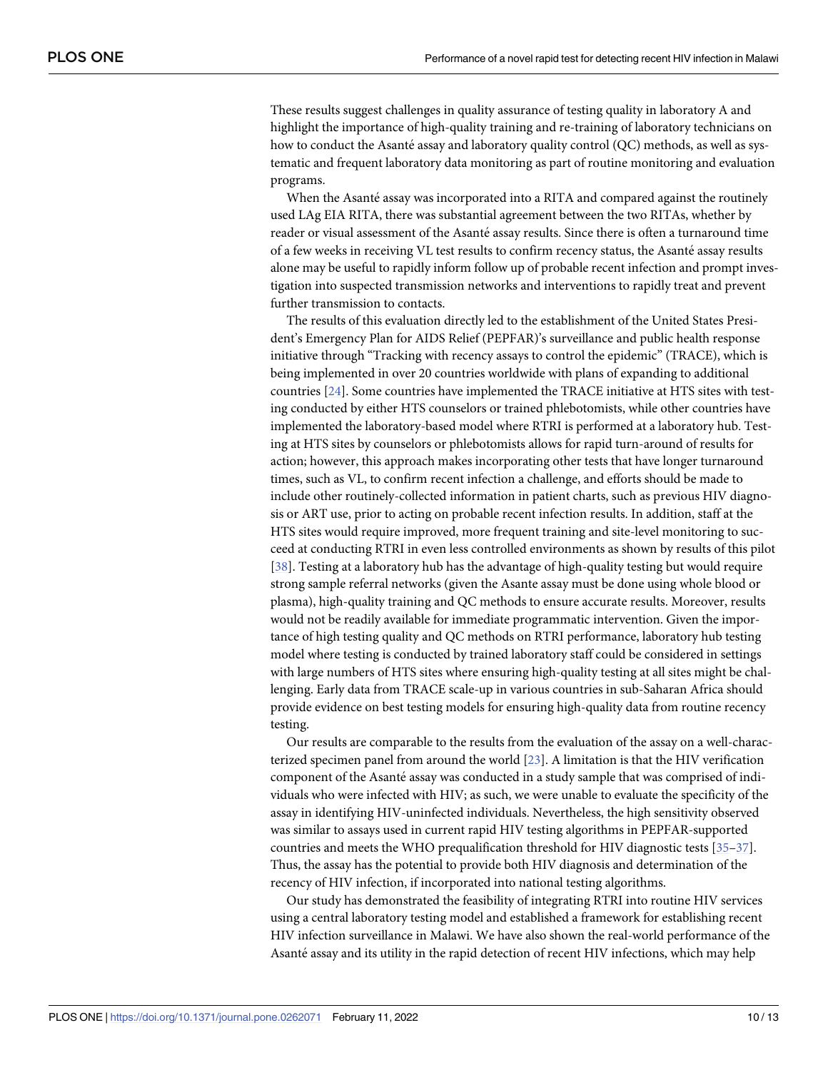<span id="page-9-0"></span>These results suggest challenges in quality assurance of testing quality in laboratory A and highlight the importance of high-quality training and re-training of laboratory technicians on how to conduct the Asanté assay and laboratory quality control (QC) methods, as well as systematic and frequent laboratory data monitoring as part of routine monitoring and evaluation programs.

When the Asanté assay was incorporated into a RITA and compared against the routinely used LAg EIA RITA, there was substantial agreement between the two RITAs, whether by reader or visual assessment of the Asanté assay results. Since there is often a turnaround time of a few weeks in receiving VL test results to confirm recency status, the Asanté assay results alone may be useful to rapidly inform follow up of probable recent infection and prompt investigation into suspected transmission networks and interventions to rapidly treat and prevent further transmission to contacts.

The results of this evaluation directly led to the establishment of the United States President's Emergency Plan for AIDS Relief (PEPFAR)'s surveillance and public health response initiative through "Tracking with recency assays to control the epidemic" (TRACE), which is being implemented in over 20 countries worldwide with plans of expanding to additional countries [[24](#page-11-0)]. Some countries have implemented the TRACE initiative at HTS sites with testing conducted by either HTS counselors or trained phlebotomists, while other countries have implemented the laboratory-based model where RTRI is performed at a laboratory hub. Testing at HTS sites by counselors or phlebotomists allows for rapid turn-around of results for action; however, this approach makes incorporating other tests that have longer turnaround times, such as VL, to confirm recent infection a challenge, and efforts should be made to include other routinely-collected information in patient charts, such as previous HIV diagnosis or ART use, prior to acting on probable recent infection results. In addition, staff at the HTS sites would require improved, more frequent training and site-level monitoring to succeed at conducting RTRI in even less controlled environments as shown by results of this pilot [\[38\]](#page-12-0). Testing at a laboratory hub has the advantage of high-quality testing but would require strong sample referral networks (given the Asante assay must be done using whole blood or plasma), high-quality training and QC methods to ensure accurate results. Moreover, results would not be readily available for immediate programmatic intervention. Given the importance of high testing quality and QC methods on RTRI performance, laboratory hub testing model where testing is conducted by trained laboratory staff could be considered in settings with large numbers of HTS sites where ensuring high-quality testing at all sites might be challenging. Early data from TRACE scale-up in various countries in sub-Saharan Africa should provide evidence on best testing models for ensuring high-quality data from routine recency testing.

Our results are comparable to the results from the evaluation of the assay on a well-characterized specimen panel from around the world [\[23\]](#page-11-0). A limitation is that the HIV verification component of the Asanté assay was conducted in a study sample that was comprised of individuals who were infected with HIV; as such, we were unable to evaluate the specificity of the assay in identifying HIV-uninfected individuals. Nevertheless, the high sensitivity observed was similar to assays used in current rapid HIV testing algorithms in PEPFAR-supported countries and meets the WHO prequalification threshold for HIV diagnostic tests [[35–37\]](#page-12-0). Thus, the assay has the potential to provide both HIV diagnosis and determination of the recency of HIV infection, if incorporated into national testing algorithms.

Our study has demonstrated the feasibility of integrating RTRI into routine HIV services using a central laboratory testing model and established a framework for establishing recent HIV infection surveillance in Malawi. We have also shown the real-world performance of the Asanté assay and its utility in the rapid detection of recent HIV infections, which may help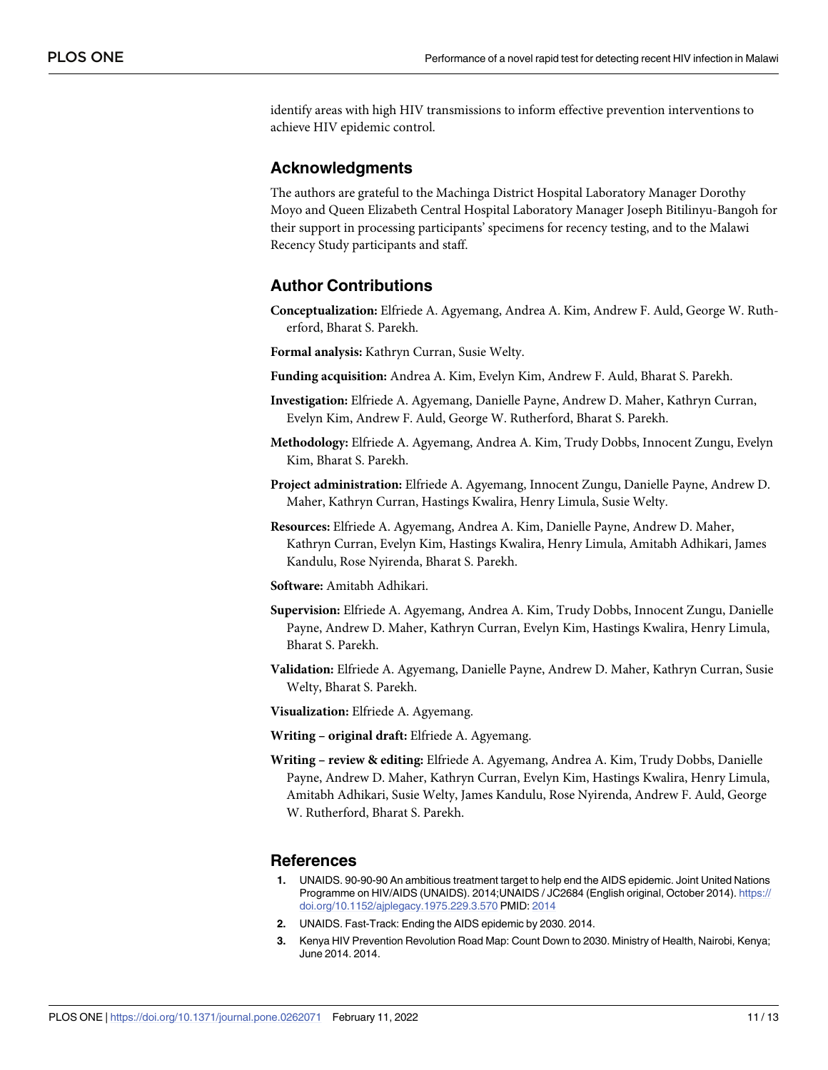<span id="page-10-0"></span>identify areas with high HIV transmissions to inform effective prevention interventions to achieve HIV epidemic control.

#### **Acknowledgments**

The authors are grateful to the Machinga District Hospital Laboratory Manager Dorothy Moyo and Queen Elizabeth Central Hospital Laboratory Manager Joseph Bitilinyu-Bangoh for their support in processing participants' specimens for recency testing, and to the Malawi Recency Study participants and staff.

# **Author Contributions**

- **Conceptualization:** Elfriede A. Agyemang, Andrea A. Kim, Andrew F. Auld, George W. Rutherford, Bharat S. Parekh.
- **Formal analysis:** Kathryn Curran, Susie Welty.
- **Funding acquisition:** Andrea A. Kim, Evelyn Kim, Andrew F. Auld, Bharat S. Parekh.
- **Investigation:** Elfriede A. Agyemang, Danielle Payne, Andrew D. Maher, Kathryn Curran, Evelyn Kim, Andrew F. Auld, George W. Rutherford, Bharat S. Parekh.
- **Methodology:** Elfriede A. Agyemang, Andrea A. Kim, Trudy Dobbs, Innocent Zungu, Evelyn Kim, Bharat S. Parekh.
- **Project administration:** Elfriede A. Agyemang, Innocent Zungu, Danielle Payne, Andrew D. Maher, Kathryn Curran, Hastings Kwalira, Henry Limula, Susie Welty.
- **Resources:** Elfriede A. Agyemang, Andrea A. Kim, Danielle Payne, Andrew D. Maher, Kathryn Curran, Evelyn Kim, Hastings Kwalira, Henry Limula, Amitabh Adhikari, James Kandulu, Rose Nyirenda, Bharat S. Parekh.
- **Software:** Amitabh Adhikari.
- **Supervision:** Elfriede A. Agyemang, Andrea A. Kim, Trudy Dobbs, Innocent Zungu, Danielle Payne, Andrew D. Maher, Kathryn Curran, Evelyn Kim, Hastings Kwalira, Henry Limula, Bharat S. Parekh.
- **Validation:** Elfriede A. Agyemang, Danielle Payne, Andrew D. Maher, Kathryn Curran, Susie Welty, Bharat S. Parekh.

**Visualization:** Elfriede A. Agyemang.

**Writing – original draft:** Elfriede A. Agyemang.

**Writing – review & editing:** Elfriede A. Agyemang, Andrea A. Kim, Trudy Dobbs, Danielle Payne, Andrew D. Maher, Kathryn Curran, Evelyn Kim, Hastings Kwalira, Henry Limula, Amitabh Adhikari, Susie Welty, James Kandulu, Rose Nyirenda, Andrew F. Auld, George W. Rutherford, Bharat S. Parekh.

#### **References**

- **[1](#page-1-0).** UNAIDS. 90-90-90 An ambitious treatment target to help end the AIDS epidemic. Joint United Nations Programme on HIV/AIDS (UNAIDS). 2014;UNAIDS / JC2684 (English original, October 2014). [https://](https://doi.org/10.1152/ajplegacy.1975.229.3.570) [doi.org/10.1152/ajplegacy.1975.229.3.570](https://doi.org/10.1152/ajplegacy.1975.229.3.570) PMID: [2014](http://www.ncbi.nlm.nih.gov/pubmed/2014)
- **[2](#page-1-0).** UNAIDS. Fast-Track: Ending the AIDS epidemic by 2030. 2014.
- **[3](#page-1-0).** Kenya HIV Prevention Revolution Road Map: Count Down to 2030. Ministry of Health, Nairobi, Kenya; June 2014. 2014.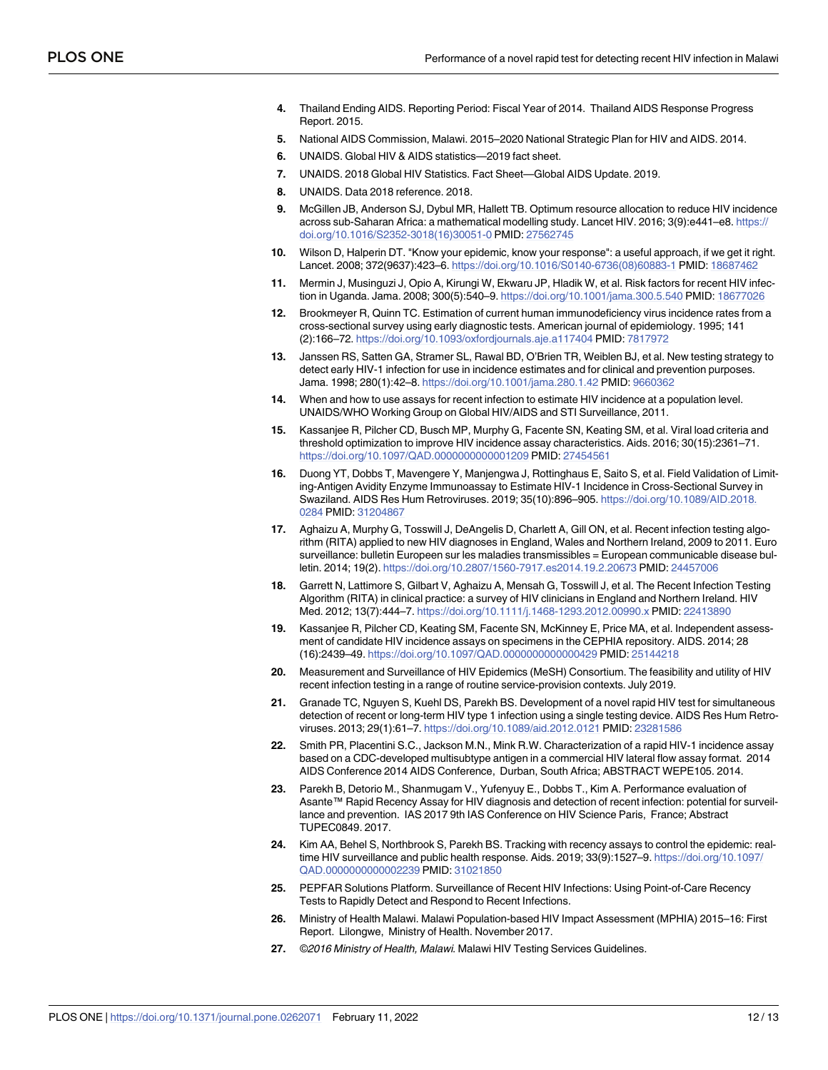- <span id="page-11-0"></span>**4.** Thailand Ending AIDS. Reporting Period: Fiscal Year of 2014. Thailand AIDS Response Progress Report. 2015.
- **[5](#page-1-0).** National AIDS Commission, Malawi. 2015–2020 National Strategic Plan for HIV and AIDS. 2014.
- **[6](#page-1-0).** UNAIDS. Global HIV & AIDS statistics—2019 fact sheet.
- **[7](#page-1-0).** UNAIDS. 2018 Global HIV Statistics. Fact Sheet—Global AIDS Update. 2019.
- **[8](#page-1-0).** UNAIDS. Data 2018 reference. 2018.
- **[9](#page-1-0).** McGillen JB, Anderson SJ, Dybul MR, Hallett TB. Optimum resource allocation to reduce HIV incidence across sub-Saharan Africa: a mathematical modelling study. Lancet HIV. 2016; 3(9):e441–e8. [https://](https://doi.org/10.1016/S2352-3018%2816%2930051-0) [doi.org/10.1016/S2352-3018\(16\)30051-0](https://doi.org/10.1016/S2352-3018%2816%2930051-0) PMID: [27562745](http://www.ncbi.nlm.nih.gov/pubmed/27562745)
- **[10](#page-1-0).** Wilson D, Halperin DT. "Know your epidemic, know your response": a useful approach, if we get it right. Lancet. 2008; 372(9637):423–6. [https://doi.org/10.1016/S0140-6736\(08\)60883-1](https://doi.org/10.1016/S0140-6736%2808%2960883-1) PMID: [18687462](http://www.ncbi.nlm.nih.gov/pubmed/18687462)
- **[11](#page-1-0).** Mermin J, Musinguzi J, Opio A, Kirungi W, Ekwaru JP, Hladik W, et al. Risk factors for recent HIV infection in Uganda. Jama. 2008; 300(5):540–9. <https://doi.org/10.1001/jama.300.5.540> PMID: [18677026](http://www.ncbi.nlm.nih.gov/pubmed/18677026)
- **12.** Brookmeyer R, Quinn TC. Estimation of current human immunodeficiency virus incidence rates from a cross-sectional survey using early diagnostic tests. American journal of epidemiology. 1995; 141 (2):166–72. <https://doi.org/10.1093/oxfordjournals.aje.a117404> PMID: [7817972](http://www.ncbi.nlm.nih.gov/pubmed/7817972)
- **[13](#page-1-0).** Janssen RS, Satten GA, Stramer SL, Rawal BD, O'Brien TR, Weiblen BJ, et al. New testing strategy to detect early HIV-1 infection for use in incidence estimates and for clinical and prevention purposes. Jama. 1998; 280(1):42–8. <https://doi.org/10.1001/jama.280.1.42> PMID: [9660362](http://www.ncbi.nlm.nih.gov/pubmed/9660362)
- **[14](#page-1-0).** When and how to use assays for recent infection to estimate HIV incidence at a population level. UNAIDS/WHO Working Group on Global HIV/AIDS and STI Surveillance, 2011.
- **[15](#page-1-0).** Kassanjee R, Pilcher CD, Busch MP, Murphy G, Facente SN, Keating SM, et al. Viral load criteria and threshold optimization to improve HIV incidence assay characteristics. Aids. 2016; 30(15):2361–71. <https://doi.org/10.1097/QAD.0000000000001209> PMID: [27454561](http://www.ncbi.nlm.nih.gov/pubmed/27454561)
- **[16](#page-1-0).** Duong YT, Dobbs T, Mavengere Y, Manjengwa J, Rottinghaus E, Saito S, et al. Field Validation of Limiting-Antigen Avidity Enzyme Immunoassay to Estimate HIV-1 Incidence in Cross-Sectional Survey in Swaziland. AIDS Res Hum Retroviruses. 2019; 35(10):896–905. [https://doi.org/10.1089/AID.2018.](https://doi.org/10.1089/AID.2018.0284) [0284](https://doi.org/10.1089/AID.2018.0284) PMID: [31204867](http://www.ncbi.nlm.nih.gov/pubmed/31204867)
- **[17](#page-1-0).** Aghaizu A, Murphy G, Tosswill J, DeAngelis D, Charlett A, Gill ON, et al. Recent infection testing algorithm (RITA) applied to new HIV diagnoses in England, Wales and Northern Ireland, 2009 to 2011. Euro surveillance: bulletin Europeen sur les maladies transmissibles = European communicable disease bulletin. 2014; 19(2). <https://doi.org/10.2807/1560-7917.es2014.19.2.20673> PMID: [24457006](http://www.ncbi.nlm.nih.gov/pubmed/24457006)
- **[18](#page-1-0).** Garrett N, Lattimore S, Gilbart V, Aghaizu A, Mensah G, Tosswill J, et al. The Recent Infection Testing Algorithm (RITA) in clinical practice: a survey of HIV clinicians in England and Northern Ireland. HIV Med. 2012; 13(7):444–7. <https://doi.org/10.1111/j.1468-1293.2012.00990.x> PMID: [22413890](http://www.ncbi.nlm.nih.gov/pubmed/22413890)
- **[19](#page-1-0).** Kassanjee R, Pilcher CD, Keating SM, Facente SN, McKinney E, Price MA, et al. Independent assessment of candidate HIV incidence assays on specimens in the CEPHIA repository. AIDS. 2014; 28 (16):2439–49. <https://doi.org/10.1097/QAD.0000000000000429> PMID: [25144218](http://www.ncbi.nlm.nih.gov/pubmed/25144218)
- **[20](#page-2-0).** Measurement and Surveillance of HIV Epidemics (MeSH) Consortium. The feasibility and utility of HIV recent infection testing in a range of routine service-provision contexts. July 2019.
- **[21](#page-2-0).** Granade TC, Nguyen S, Kuehl DS, Parekh BS. Development of a novel rapid HIV test for simultaneous detection of recent or long-term HIV type 1 infection using a single testing device. AIDS Res Hum Retroviruses. 2013; 29(1):61–7. <https://doi.org/10.1089/aid.2012.0121> PMID: [23281586](http://www.ncbi.nlm.nih.gov/pubmed/23281586)
- **[22](#page-2-0).** Smith PR, Placentini S.C., Jackson M.N., Mink R.W. Characterization of a rapid HIV-1 incidence assay based on a CDC-developed multisubtype antigen in a commercial HIV lateral flow assay format. 2014 AIDS Conference 2014 AIDS Conference, Durban, South Africa; ABSTRACT WEPE105. 2014.
- **[23](#page-9-0).** Parekh B, Detorio M., Shanmugam V., Yufenyuy E., Dobbs T., Kim A. Performance evaluation of Asante™ Rapid Recency Assay for HIV diagnosis and detection of recent infection: potential for surveillance and prevention. IAS 2017 9th IAS Conference on HIV Science Paris, France; Abstract TUPEC0849. 2017.
- **[24](#page-2-0).** Kim AA, Behel S, Northbrook S, Parekh BS. Tracking with recency assays to control the epidemic: realtime HIV surveillance and public health response. Aids. 2019; 33(9): 1527-9. [https://doi.org/10.1097/](https://doi.org/10.1097/QAD.0000000000002239) [QAD.0000000000002239](https://doi.org/10.1097/QAD.0000000000002239) PMID: [31021850](http://www.ncbi.nlm.nih.gov/pubmed/31021850)
- **[25](#page-2-0).** PEPFAR Solutions Platform. Surveillance of Recent HIV Infections: Using Point-of-Care Recency Tests to Rapidly Detect and Respond to Recent Infections.
- **[26](#page-3-0).** Ministry of Health Malawi. Malawi Population-based HIV Impact Assessment (MPHIA) 2015–16: First Report. Lilongwe, Ministry of Health. November 2017.
- **[27](#page-3-0).** *©*2016 Ministry of Health, Malawi. Malawi HIV Testing Services Guidelines.